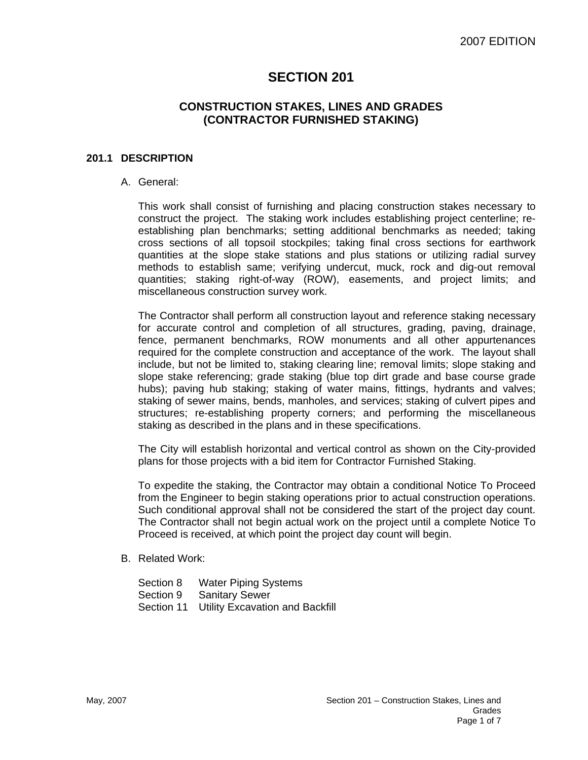# **SECTION 201**

# **CONSTRUCTION STAKES, LINES AND GRADES (CONTRACTOR FURNISHED STAKING)**

#### **201.1 DESCRIPTION**

#### A. General:

This work shall consist of furnishing and placing construction stakes necessary to construct the project. The staking work includes establishing project centerline; reestablishing plan benchmarks; setting additional benchmarks as needed; taking cross sections of all topsoil stockpiles; taking final cross sections for earthwork quantities at the slope stake stations and plus stations or utilizing radial survey methods to establish same; verifying undercut, muck, rock and dig-out removal quantities; staking right-of-way (ROW), easements, and project limits; and miscellaneous construction survey work.

The Contractor shall perform all construction layout and reference staking necessary for accurate control and completion of all structures, grading, paving, drainage, fence, permanent benchmarks, ROW monuments and all other appurtenances required for the complete construction and acceptance of the work. The layout shall include, but not be limited to, staking clearing line; removal limits; slope staking and slope stake referencing; grade staking (blue top dirt grade and base course grade hubs); paving hub staking; staking of water mains, fittings, hydrants and valves; staking of sewer mains, bends, manholes, and services; staking of culvert pipes and structures; re-establishing property corners; and performing the miscellaneous staking as described in the plans and in these specifications.

The City will establish horizontal and vertical control as shown on the City-provided plans for those projects with a bid item for Contractor Furnished Staking.

To expedite the staking, the Contractor may obtain a conditional Notice To Proceed from the Engineer to begin staking operations prior to actual construction operations. Such conditional approval shall not be considered the start of the project day count. The Contractor shall not begin actual work on the project until a complete Notice To Proceed is received, at which point the project day count will begin.

- B. Related Work:
	- Section 8 Water Piping Systems
	- Section 9 Sanitary Sewer
	- Section 11 Utility Excavation and Backfill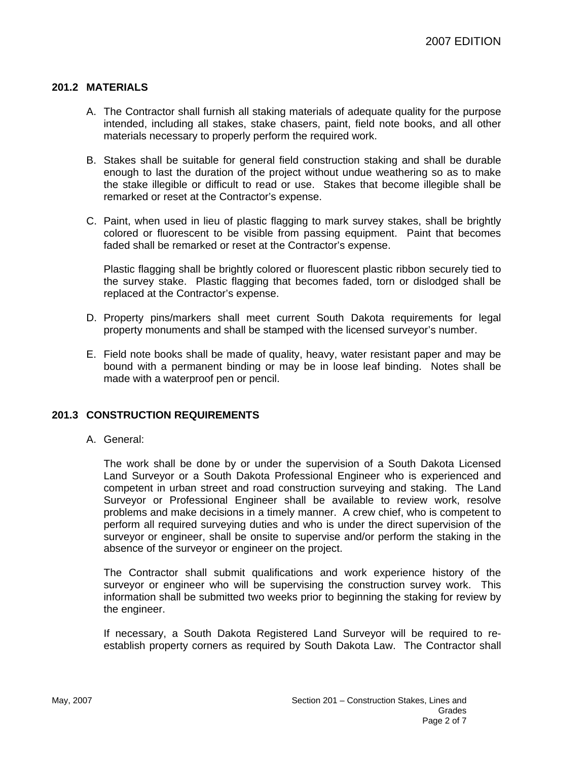# **201.2 MATERIALS**

- A. The Contractor shall furnish all staking materials of adequate quality for the purpose intended, including all stakes, stake chasers, paint, field note books, and all other materials necessary to properly perform the required work.
- B. Stakes shall be suitable for general field construction staking and shall be durable enough to last the duration of the project without undue weathering so as to make the stake illegible or difficult to read or use. Stakes that become illegible shall be remarked or reset at the Contractor's expense.
- C. Paint, when used in lieu of plastic flagging to mark survey stakes, shall be brightly colored or fluorescent to be visible from passing equipment. Paint that becomes faded shall be remarked or reset at the Contractor's expense.

Plastic flagging shall be brightly colored or fluorescent plastic ribbon securely tied to the survey stake. Plastic flagging that becomes faded, torn or dislodged shall be replaced at the Contractor's expense.

- D. Property pins/markers shall meet current South Dakota requirements for legal property monuments and shall be stamped with the licensed surveyor's number.
- E. Field note books shall be made of quality, heavy, water resistant paper and may be bound with a permanent binding or may be in loose leaf binding. Notes shall be made with a waterproof pen or pencil.

# **201.3 CONSTRUCTION REQUIREMENTS**

A. General:

The work shall be done by or under the supervision of a South Dakota Licensed Land Surveyor or a South Dakota Professional Engineer who is experienced and competent in urban street and road construction surveying and staking. The Land Surveyor or Professional Engineer shall be available to review work, resolve problems and make decisions in a timely manner. A crew chief, who is competent to perform all required surveying duties and who is under the direct supervision of the surveyor or engineer, shall be onsite to supervise and/or perform the staking in the absence of the surveyor or engineer on the project.

The Contractor shall submit qualifications and work experience history of the surveyor or engineer who will be supervising the construction survey work. This information shall be submitted two weeks prior to beginning the staking for review by the engineer.

If necessary, a South Dakota Registered Land Surveyor will be required to reestablish property corners as required by South Dakota Law. The Contractor shall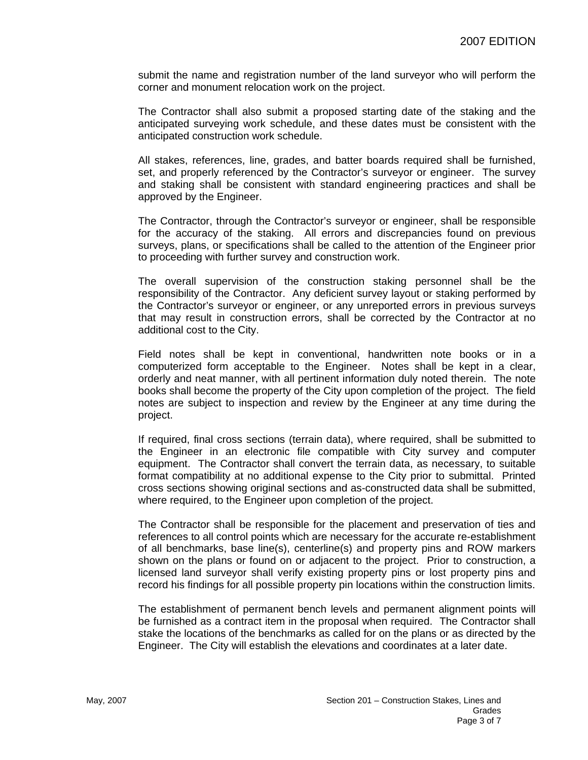submit the name and registration number of the land surveyor who will perform the corner and monument relocation work on the project.

The Contractor shall also submit a proposed starting date of the staking and the anticipated surveying work schedule, and these dates must be consistent with the anticipated construction work schedule.

All stakes, references, line, grades, and batter boards required shall be furnished, set, and properly referenced by the Contractor's surveyor or engineer. The survey and staking shall be consistent with standard engineering practices and shall be approved by the Engineer.

The Contractor, through the Contractor's surveyor or engineer, shall be responsible for the accuracy of the staking. All errors and discrepancies found on previous surveys, plans, or specifications shall be called to the attention of the Engineer prior to proceeding with further survey and construction work.

The overall supervision of the construction staking personnel shall be the responsibility of the Contractor. Any deficient survey layout or staking performed by the Contractor's surveyor or engineer, or any unreported errors in previous surveys that may result in construction errors, shall be corrected by the Contractor at no additional cost to the City.

Field notes shall be kept in conventional, handwritten note books or in a computerized form acceptable to the Engineer. Notes shall be kept in a clear, orderly and neat manner, with all pertinent information duly noted therein. The note books shall become the property of the City upon completion of the project. The field notes are subject to inspection and review by the Engineer at any time during the project.

If required, final cross sections (terrain data), where required, shall be submitted to the Engineer in an electronic file compatible with City survey and computer equipment. The Contractor shall convert the terrain data, as necessary, to suitable format compatibility at no additional expense to the City prior to submittal. Printed cross sections showing original sections and as-constructed data shall be submitted, where required, to the Engineer upon completion of the project.

The Contractor shall be responsible for the placement and preservation of ties and references to all control points which are necessary for the accurate re-establishment of all benchmarks, base line(s), centerline(s) and property pins and ROW markers shown on the plans or found on or adjacent to the project. Prior to construction, a licensed land surveyor shall verify existing property pins or lost property pins and record his findings for all possible property pin locations within the construction limits.

The establishment of permanent bench levels and permanent alignment points will be furnished as a contract item in the proposal when required. The Contractor shall stake the locations of the benchmarks as called for on the plans or as directed by the Engineer. The City will establish the elevations and coordinates at a later date.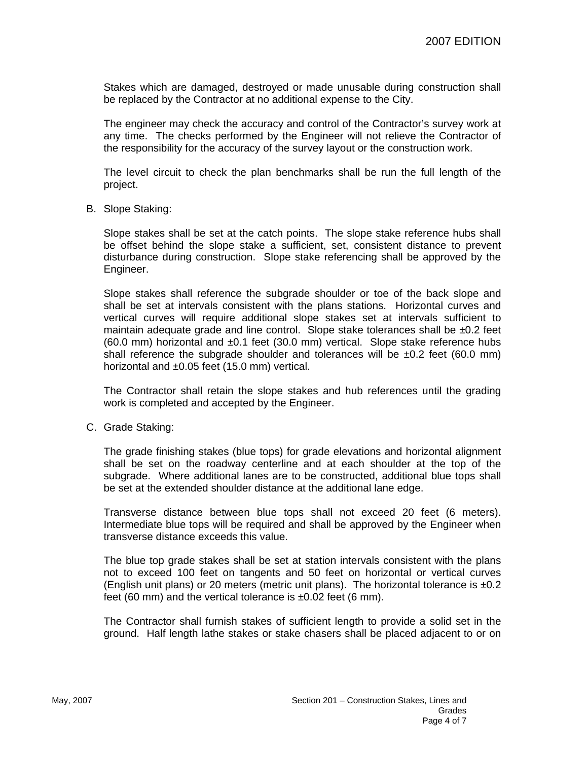Stakes which are damaged, destroyed or made unusable during construction shall be replaced by the Contractor at no additional expense to the City.

The engineer may check the accuracy and control of the Contractor's survey work at any time. The checks performed by the Engineer will not relieve the Contractor of the responsibility for the accuracy of the survey layout or the construction work.

The level circuit to check the plan benchmarks shall be run the full length of the project.

B. Slope Staking:

Slope stakes shall be set at the catch points. The slope stake reference hubs shall be offset behind the slope stake a sufficient, set, consistent distance to prevent disturbance during construction. Slope stake referencing shall be approved by the Engineer.

Slope stakes shall reference the subgrade shoulder or toe of the back slope and shall be set at intervals consistent with the plans stations. Horizontal curves and vertical curves will require additional slope stakes set at intervals sufficient to maintain adequate grade and line control. Slope stake tolerances shall be  $\pm 0.2$  feet (60.0 mm) horizontal and ±0.1 feet (30.0 mm) vertical. Slope stake reference hubs shall reference the subgrade shoulder and tolerances will be  $\pm 0.2$  feet (60.0 mm) horizontal and ±0.05 feet (15.0 mm) vertical.

The Contractor shall retain the slope stakes and hub references until the grading work is completed and accepted by the Engineer.

C. Grade Staking:

The grade finishing stakes (blue tops) for grade elevations and horizontal alignment shall be set on the roadway centerline and at each shoulder at the top of the subgrade. Where additional lanes are to be constructed, additional blue tops shall be set at the extended shoulder distance at the additional lane edge.

Transverse distance between blue tops shall not exceed 20 feet (6 meters). Intermediate blue tops will be required and shall be approved by the Engineer when transverse distance exceeds this value.

The blue top grade stakes shall be set at station intervals consistent with the plans not to exceed 100 feet on tangents and 50 feet on horizontal or vertical curves (English unit plans) or 20 meters (metric unit plans). The horizontal tolerance is  $\pm 0.2$ feet (60 mm) and the vertical tolerance is  $\pm 0.02$  feet (6 mm).

The Contractor shall furnish stakes of sufficient length to provide a solid set in the ground. Half length lathe stakes or stake chasers shall be placed adjacent to or on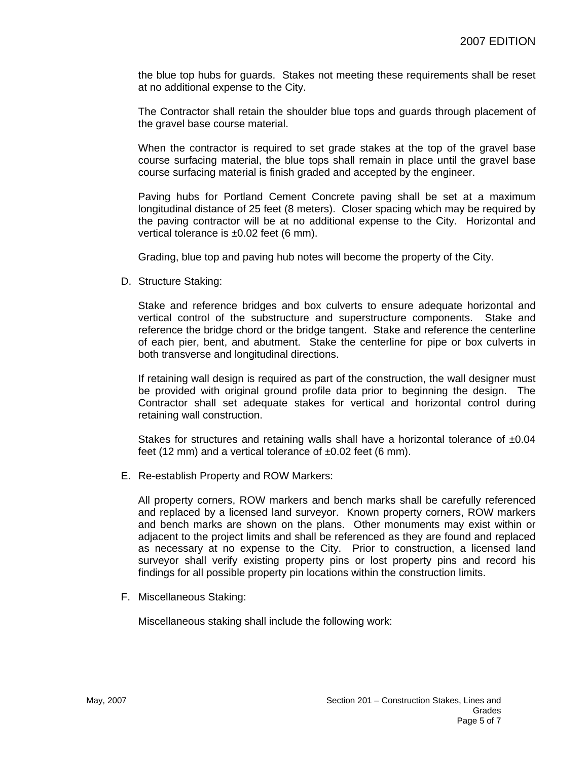the blue top hubs for guards. Stakes not meeting these requirements shall be reset at no additional expense to the City.

The Contractor shall retain the shoulder blue tops and guards through placement of the gravel base course material.

When the contractor is required to set grade stakes at the top of the gravel base course surfacing material, the blue tops shall remain in place until the gravel base course surfacing material is finish graded and accepted by the engineer.

Paving hubs for Portland Cement Concrete paving shall be set at a maximum longitudinal distance of 25 feet (8 meters). Closer spacing which may be required by the paving contractor will be at no additional expense to the City. Horizontal and vertical tolerance is ±0.02 feet (6 mm).

Grading, blue top and paving hub notes will become the property of the City.

D. Structure Staking:

Stake and reference bridges and box culverts to ensure adequate horizontal and vertical control of the substructure and superstructure components. Stake and reference the bridge chord or the bridge tangent. Stake and reference the centerline of each pier, bent, and abutment. Stake the centerline for pipe or box culverts in both transverse and longitudinal directions.

If retaining wall design is required as part of the construction, the wall designer must be provided with original ground profile data prior to beginning the design. The Contractor shall set adequate stakes for vertical and horizontal control during retaining wall construction.

Stakes for structures and retaining walls shall have a horizontal tolerance of  $\pm 0.04$ feet (12 mm) and a vertical tolerance of  $\pm 0.02$  feet (6 mm).

E. Re-establish Property and ROW Markers:

All property corners, ROW markers and bench marks shall be carefully referenced and replaced by a licensed land surveyor. Known property corners, ROW markers and bench marks are shown on the plans. Other monuments may exist within or adjacent to the project limits and shall be referenced as they are found and replaced as necessary at no expense to the City. Prior to construction, a licensed land surveyor shall verify existing property pins or lost property pins and record his findings for all possible property pin locations within the construction limits.

F. Miscellaneous Staking:

Miscellaneous staking shall include the following work: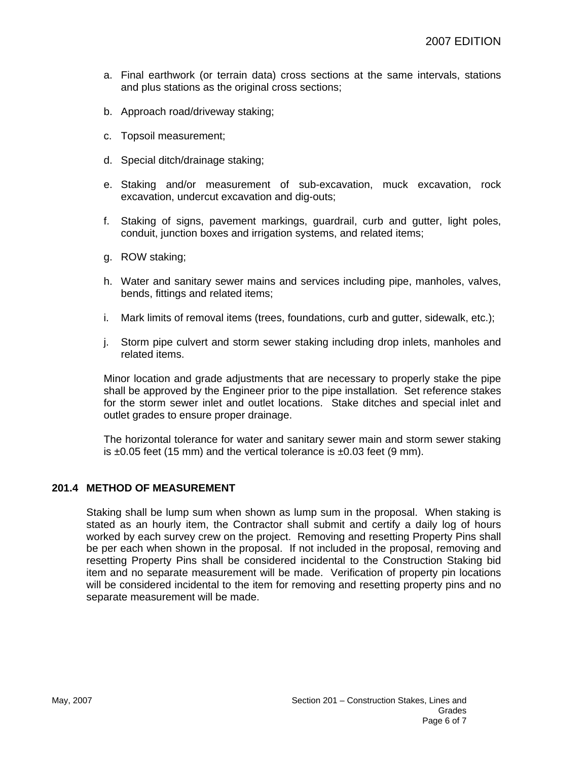- a. Final earthwork (or terrain data) cross sections at the same intervals, stations and plus stations as the original cross sections;
- b. Approach road/driveway staking;
- c. Topsoil measurement;
- d. Special ditch/drainage staking;
- e. Staking and/or measurement of sub-excavation, muck excavation, rock excavation, undercut excavation and dig-outs;
- f. Staking of signs, pavement markings, guardrail, curb and gutter, light poles, conduit, junction boxes and irrigation systems, and related items;
- g. ROW staking;
- h. Water and sanitary sewer mains and services including pipe, manholes, valves, bends, fittings and related items;
- i. Mark limits of removal items (trees, foundations, curb and gutter, sidewalk, etc.);
- j. Storm pipe culvert and storm sewer staking including drop inlets, manholes and related items.

Minor location and grade adjustments that are necessary to properly stake the pipe shall be approved by the Engineer prior to the pipe installation. Set reference stakes for the storm sewer inlet and outlet locations. Stake ditches and special inlet and outlet grades to ensure proper drainage.

The horizontal tolerance for water and sanitary sewer main and storm sewer staking is  $\pm 0.05$  feet (15 mm) and the vertical tolerance is  $\pm 0.03$  feet (9 mm).

# **201.4 METHOD OF MEASUREMENT**

Staking shall be lump sum when shown as lump sum in the proposal. When staking is stated as an hourly item, the Contractor shall submit and certify a daily log of hours worked by each survey crew on the project. Removing and resetting Property Pins shall be per each when shown in the proposal. If not included in the proposal, removing and resetting Property Pins shall be considered incidental to the Construction Staking bid item and no separate measurement will be made. Verification of property pin locations will be considered incidental to the item for removing and resetting property pins and no separate measurement will be made.